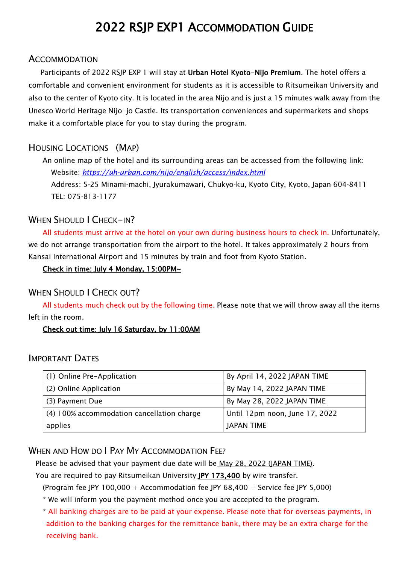# 2022 RSJP EXP1 ACCOMMODATION GUIDE

#### **ACCOMMODATION**

Participants of 2022 RSJP EXP 1 will stay at Urban Hotel Kyoto-Nijo Premium. The hotel offers a comfortable and convenient environment for students as it is accessible to Ritsumeikan University and also to the center of Kyoto city. It is located in the area Nijo and is just a 15 minutes walk away from the Unesco World Heritage Nijo-jo Castle. Its transportation conveniences and supermarkets and shops make it a comfortable place for you to stay during the program.

### HOUSING LOCATIONS (MAP)

An online map of the hotel and its surrounding areas can be accessed from the following link: Website: *<https://uh-urban.com/nijo/english/access/index.html>* Address: 5-25 Minami-machi, Jyurakumawari, Chukyo-ku, Kyoto City, Kyoto, Japan 604-8411 TEL: 075-813-1177

### WHEN SHOULD I CHECK-IN?

All students must arrive at the hotel on your own during business hours to check in. Unfortunately, we do not arrange transportation from the airport to the hotel. It takes approximately 2 hours from Kansai International Airport and 15 minutes by train and foot from Kyoto Station.

#### Check in time: July 4 Monday, 15:00PM~

### WHEN SHOULD LCHECK OUT?

All students much check out by the following time. Please note that we will throw away all the items left in the room.

#### Check out time: July 16 Saturday, by 11:00AM

#### IMPORTANT DATES

| (1) Online Pre-Application                 | By April 14, 2022 JAPAN TIME   |
|--------------------------------------------|--------------------------------|
| (2) Online Application                     | By May 14, 2022 JAPAN TIME     |
| (3) Payment Due                            | By May 28, 2022 JAPAN TIME     |
| (4) 100% accommodation cancellation charge | Until 12pm noon, June 17, 2022 |
| applies                                    | <b>JAPAN TIME</b>              |

### WHEN AND HOW DO I PAY MY ACCOMMODATION FEE?

Please be advised that your payment due date will be May 28, 2022 (JAPAN TIME).

You are required to pay Ritsumeikan University JPY 173,400 by wire transfer.

(Program fee JPY 100,000 + Accommodation fee JPY 68,400 + Service fee JPY 5,000)

\* We will inform you the payment method once you are accepted to the program.

\* All banking charges are to be paid at your expense. Please note that for overseas payments, in addition to the banking charges for the remittance bank, there may be an extra charge for the receiving bank.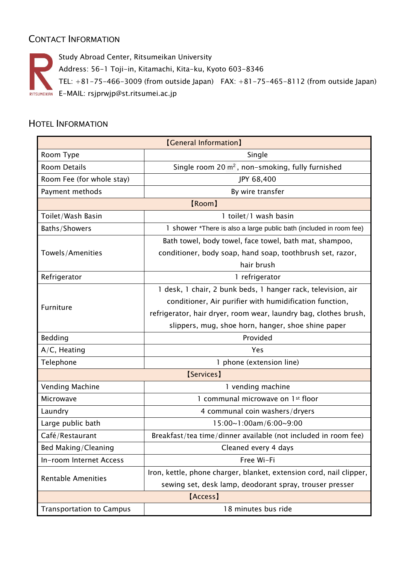# CONTACT INFORMATION

Study Abroad Center, Ritsumeikan University Address: 56-1 Toji-in, Kitamachi, Kita-ku, Kyoto 603-8346 TEL: +81-75-466-3009 (from outside Japan) FAX: +81-75-465-8112 (from outside Japan) RITSUMEIKAN E-MAIL: [rsjprwjp@st.ritsumei.ac.jp](mailto:rsjprwjp@st.ritsumei.ac.jp)

# HOTEL INFORMATION

| <b>[General Information]</b>    |                                                                     |  |
|---------------------------------|---------------------------------------------------------------------|--|
| Room Type                       | Single                                                              |  |
| <b>Room Details</b>             | Single room 20 $m^2$ , non-smoking, fully furnished                 |  |
| Room Fee (for whole stay)       | JPY 68,400                                                          |  |
| Payment methods                 | By wire transfer                                                    |  |
| [Room]                          |                                                                     |  |
| Toilet/Wash Basin               | 1 toilet/1 wash basin                                               |  |
| Baths/Showers                   | 1 shower *There is also a large public bath (included in room fee)  |  |
| Towels/Amenities                | Bath towel, body towel, face towel, bath mat, shampoo,              |  |
|                                 | conditioner, body soap, hand soap, toothbrush set, razor,           |  |
|                                 | hair brush                                                          |  |
| Refrigerator                    | 1 refrigerator                                                      |  |
| Furniture                       | 1 desk, 1 chair, 2 bunk beds, 1 hanger rack, television, air        |  |
|                                 | conditioner, Air purifier with humidification function,             |  |
|                                 | refrigerator, hair dryer, room wear, laundry bag, clothes brush,    |  |
|                                 | slippers, mug, shoe horn, hanger, shoe shine paper                  |  |
| Bedding                         | Provided                                                            |  |
| $A/C$ , Heating                 | <b>Yes</b>                                                          |  |
| Telephone                       | 1 phone (extension line)                                            |  |
| [Services]                      |                                                                     |  |
| Vending Machine                 | 1 vending machine                                                   |  |
| Microwave                       | 1 communal microwave on 1st floor                                   |  |
| Laundry                         | 4 communal coin washers/dryers                                      |  |
| Large public bath               | 15:00~1:00am/6:00~9:00                                              |  |
| Café/Restaurant                 | Breakfast/tea time/dinner available (not included in room fee)      |  |
| Bed Making/Cleaning             | Cleaned every 4 days                                                |  |
| In-room Internet Access         | Free Wi-Fi                                                          |  |
| <b>Rentable Amenities</b>       | Iron, kettle, phone charger, blanket, extension cord, nail clipper, |  |
|                                 | sewing set, desk lamp, deodorant spray, trouser presser             |  |
| [Access]                        |                                                                     |  |
| <b>Transportation to Campus</b> | 18 minutes bus ride                                                 |  |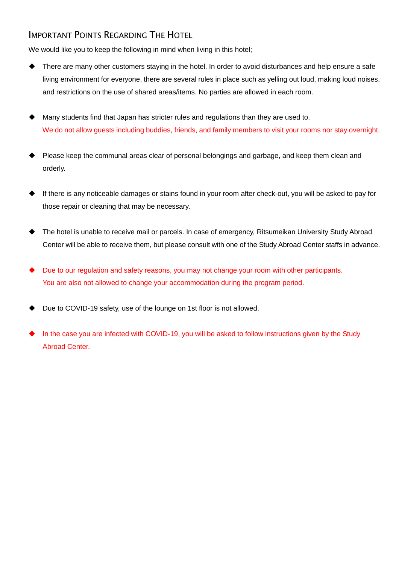### IMPORTANT POINTS REGARDING THE HOTEL

We would like you to keep the following in mind when living in this hotel;

- There are many other customers staying in the hotel. In order to avoid disturbances and help ensure a safe living environment for everyone, there are several rules in place such as yelling out loud, making loud noises, and restrictions on the use of shared areas/items. No parties are allowed in each room.
- Many students find that Japan has stricter rules and regulations than they are used to. We do not allow guests including buddies, friends, and family members to visit your rooms nor stay overnight.
- Please keep the communal areas clear of personal belongings and garbage, and keep them clean and orderly.
- If there is any noticeable damages or stains found in your room after check-out, you will be asked to pay for those repair or cleaning that may be necessary.
- The hotel is unable to receive mail or parcels. In case of emergency, Ritsumeikan University Study Abroad Center will be able to receive them, but please consult with one of the Study Abroad Center staffs in advance.
- Due to our regulation and safety reasons, you may not change your room with other participants. You are also not allowed to change your accommodation during the program period.
- Due to COVID-19 safety, use of the lounge on 1st floor is not allowed.
- In the case you are infected with COVID-19, you will be asked to follow instructions given by the Study Abroad Center.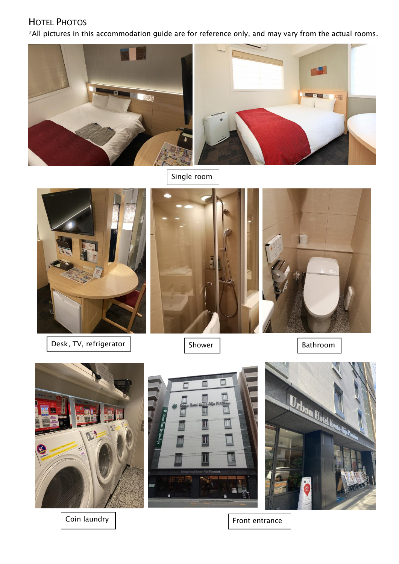# HOTEL PHOTOS

\*All pictures in this accommodation guide are for reference only, and may vary from the actual rooms.



Single room



Desk, TV, refrigerator | Shower | Shower | Bathroom







Coin laundry | Tront entrance